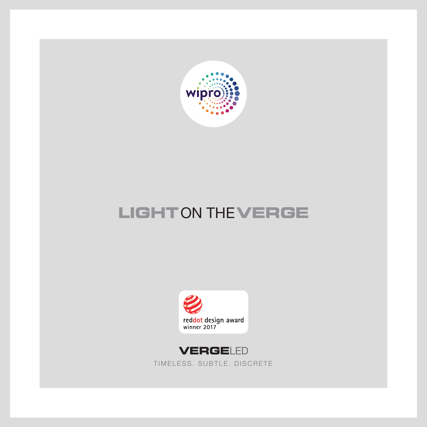

## **LIGHT**ON THE**VERGE**





TIMELESS. SUBTLE. DISCRETE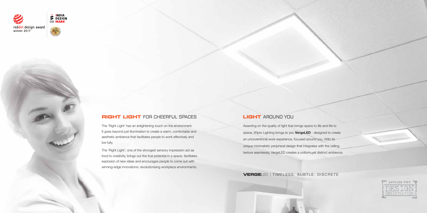### **RIGHT LIGHT** FOR CHEERFUL SPACES **LIGHT** AROUND YOU

**VERGE**LED | TIMELESS. SUBTLE. DISCRETE

| $\mathsf{to}$ |  |  |
|---------------|--|--|
| reate         |  |  |
| S             |  |  |
| iling         |  |  |
| pience.       |  |  |
|               |  |  |



The 'Right Light' has an enlightening touch on the environment. It goes beyond just illumination to create a warm, comfortable and aesthetic ambience that facilitates people to work effectively and





The 'Right Light', one of the strongest sensory impression act as food to creativity, brings out the true potential in a space, facilitates explosion of new ideas and encourages people to come out with winning-edge innovations; revolutionising workplace environments.

Asserting on the quality of light that brings space to life and life space, Wipro Lighting brings to you **VergeLED** - designed to create an uncoventional work experience, focused around you. With it unique minimalistic peripheral design that integrates with the ceil texture seamlessly, VergeLED creates a uniform yet distinct ambi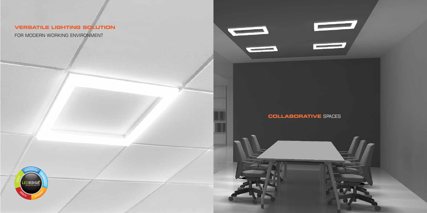## **VERSATILE LIGHTING SOLUTION**

FOR MODERN WORKING ENVIRONMENT



**COLLABORATIVE** SPACES

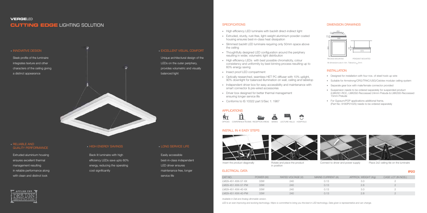Back lit luminaire with high efficiency LEDs save upto 60% energy, reducing the operating cost significantly

#### **VERGE**LED **CUTTING EDGE** LIGHTING SOLUTION

#### **INNOVATIVE DESIGN**

Easily accessible best-in-class independent LED driver ensures maintenance free, longer service life

#### **SPECIFICATIONS**

Extruded aluminium housing ensures excellent thermal management resulting in reliable performance along with clean and distinct look

# APPLIED FOR

#### **HIGH ENERGY SAVINGS LONG SERVICE LIFE**

Insert the product diagonally Rotate and place the product in position

#### RELIABLE AND QUALITY PERFORMANCE

Unique architectural design of the LEDs on the outer periphery, provides volumetric and visually balanced light

Sleek profile of the luminaire integrates texture and other characters of the ceiling giving a distinct appearance

#### **EXCELLENT VISUAL COMFORT**

#### INSTALL IN 4 EASY STEPS





#### ELECTRICAL DATA



Connect to driver and power supply Place 2x2 ceiling tile on the luminaire

- High efficiency LED luminaire with backlit direct-indirect light
- Extruded, sturdy, rust-free, light-weight aluminium powder coated housing ensures best-in-class heat dissipation
- Slimmest backlit LED luminaire requiring only 50mm space above the ceiling
- Thoughtfully designed LED configuration around the periphery resulting in wider, volumetric light distribution
- High efficiency LEDs with best possible chromaticity, colour consistency and uniformity by best binning process resulting up to 60% energy saving
- Insect proof LED compartment
- Optically researched, seamless HET PC diffuser with 10% uplight, 90% downlight for balanced illumination on wall, ceiling and tabletop
- Independent driver box for easy accessibility and maintenance with smart connector & pre-wired accessories
- Driver box designed for better thermal management ensuring longer service life
- Conforms to IS 10322 part 5/Sec 1: 1987

#### **APPLICATIONS**

#### INSTALLATION

• Designed for installation with four nos. of steel hook-up wire

• Suitable for Armstrong/CRG/TRAC/USG/Celotex modular ceiling system

• Separate gear box with male/female connector provided

• Suspension needs to be ordered separately for suspended product (LMX291-RCC, LMX292-Reccessed 24mm Prelude & LMX293-Reccessed 15mm Prelude

• For Gypsum/POP applications additional frame, (Part No: 9180P01025) needs to be ordered separately



#### DIMENSION DRAWINGS

#### IP20

| POWER (W) | RATED VOLTAGE (V) | MAINS CURRENT (A) | APPROX. WEIGHT (Kg) | CASE LOT (IN NOS.) |
|-----------|-------------------|-------------------|---------------------|--------------------|
| 33W       | 240               | 0.13              | 3.0                 |                    |
| 33W       | 240               | 0.13              | 2.8                 |                    |
| 33W       | 240               | 0.13              | 3.0                 |                    |
| 33W       | 240               | 0.13              | 2.8                 |                    |
|           |                   |                   |                     |                    |

*Available in Dali and Analog dimmable version.*

LED is an ever improving and evolving technology. Wipro is committed to bring you the best in LED technology. Data given is representative and can change.





All dimensions are in mm. Tolerance  $\pm 2$ mm



50 48

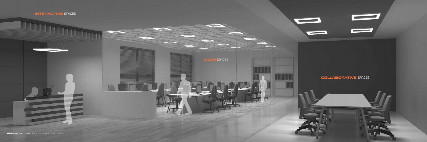